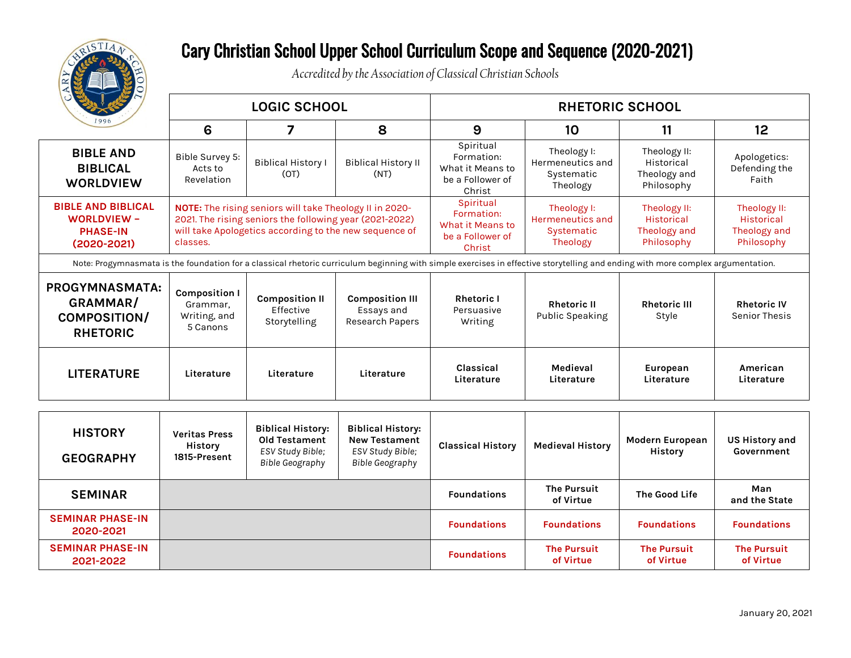

## Cary Christian School Upper School Curriculum Scope and Sequence (2020-2021)

*Accredited by the Association of Classical Christian Schools*

| <b>CALL</b>                                                                                                                                                                     | <b>LOGIC SCHOOL</b>                                          |                                                                                                                                                                              |                                                                                                | <b>RHETORIC SCHOOL</b>                                                    |                                                                  |                                                                 |                                                                 |  |  |  |
|---------------------------------------------------------------------------------------------------------------------------------------------------------------------------------|--------------------------------------------------------------|------------------------------------------------------------------------------------------------------------------------------------------------------------------------------|------------------------------------------------------------------------------------------------|---------------------------------------------------------------------------|------------------------------------------------------------------|-----------------------------------------------------------------|-----------------------------------------------------------------|--|--|--|
|                                                                                                                                                                                 | 6                                                            | 7                                                                                                                                                                            | 8                                                                                              | 9                                                                         | 10                                                               | 11                                                              | 12 <sup>2</sup>                                                 |  |  |  |
| <b>BIBLE AND</b><br><b>BIBLICAL</b><br><b>WORLDVIEW</b>                                                                                                                         | Bible Survey 5:<br>Acts to<br>Revelation                     | <b>Biblical History I</b><br>(OT)                                                                                                                                            | <b>Biblical History II</b><br>(NT)                                                             | Spiritual<br>Formation:<br>What it Means to<br>be a Follower of<br>Christ | Theology I:<br>Hermeneutics and<br>Systematic<br>Theology        | Theology II:<br>Historical<br>Theology and<br>Philosophy        | Apologetics:<br>Defending the<br>Faith                          |  |  |  |
| <b>BIBLE AND BIBLICAL</b><br><b>WORLDVIEW -</b><br><b>PHASE-IN</b><br>$(2020 - 2021)$                                                                                           | classes.                                                     | NOTE: The rising seniors will take Theology II in 2020-<br>2021. The rising seniors the following year (2021-2022)<br>will take Apologetics according to the new sequence of |                                                                                                | Spiritual<br>Formation:<br>What it Means to<br>be a Follower of<br>Christ | Theology I:<br><b>Hermeneutics and</b><br>Systematic<br>Theology | Theology II:<br><b>Historical</b><br>Theology and<br>Philosophy | Theology II:<br>Historical<br><b>Theology and</b><br>Philosophy |  |  |  |
| Note: Progymnasmata is the foundation for a classical rhetoric curriculum beginning with simple exercises in effective storytelling and ending with more complex argumentation. |                                                              |                                                                                                                                                                              |                                                                                                |                                                                           |                                                                  |                                                                 |                                                                 |  |  |  |
| <b>PROGYMNASMATA:</b><br>GRAMMAR/<br><b>COMPOSITION/</b><br><b>RHETORIC</b>                                                                                                     | <b>Composition I</b><br>Grammar,<br>Writing, and<br>5 Canons | <b>Composition II</b><br>Effective<br>Storytelling                                                                                                                           | <b>Composition III</b><br>Essays and<br><b>Research Papers</b>                                 | <b>Rhetoric I</b><br>Persuasive<br>Writing                                | <b>Rhetoric II</b><br><b>Public Speaking</b>                     | <b>Rhetoric III</b><br>Style                                    | <b>Rhetoric IV</b><br><b>Senior Thesis</b>                      |  |  |  |
| <b>LITERATURE</b>                                                                                                                                                               | Literature                                                   | Literature                                                                                                                                                                   | Literature                                                                                     | Classical<br>Literature                                                   | Medieval<br>Literature                                           | European<br>Literature                                          | American<br>Literature                                          |  |  |  |
|                                                                                                                                                                                 |                                                              |                                                                                                                                                                              |                                                                                                |                                                                           |                                                                  |                                                                 |                                                                 |  |  |  |
| <b>HISTORY</b><br><b>GEOGRAPHY</b>                                                                                                                                              | <b>Veritas Press</b><br><b>History</b><br>1815-Present       | <b>Biblical History:</b><br><b>Old Testament</b><br>ESV Study Bible;<br><b>Bible Geography</b>                                                                               | <b>Biblical History:</b><br><b>New Testament</b><br>ESV Study Bible;<br><b>Bible Geography</b> | <b>Classical History</b>                                                  | <b>Medieval History</b>                                          | <b>Modern European</b><br><b>History</b>                        | <b>US History and</b><br>Government                             |  |  |  |
| <b>SEMINAR</b>                                                                                                                                                                  |                                                              |                                                                                                                                                                              |                                                                                                | <b>Foundations</b>                                                        | <b>The Pursuit</b><br>of Virtue                                  | The Good Life                                                   | Man<br>and the State                                            |  |  |  |
| <b>SEMINAR PHASE-IN</b><br>2020-2021                                                                                                                                            |                                                              |                                                                                                                                                                              |                                                                                                | <b>Foundations</b>                                                        | <b>Foundations</b>                                               | <b>Foundations</b>                                              | <b>Foundations</b>                                              |  |  |  |
| <b>SEMINAR PHASE-IN</b><br>2021-2022                                                                                                                                            |                                                              |                                                                                                                                                                              |                                                                                                | <b>Foundations</b>                                                        | <b>The Pursuit</b><br>of Virtue                                  | <b>The Pursuit</b><br>of Virtue                                 | <b>The Pursuit</b><br>of Virtue                                 |  |  |  |